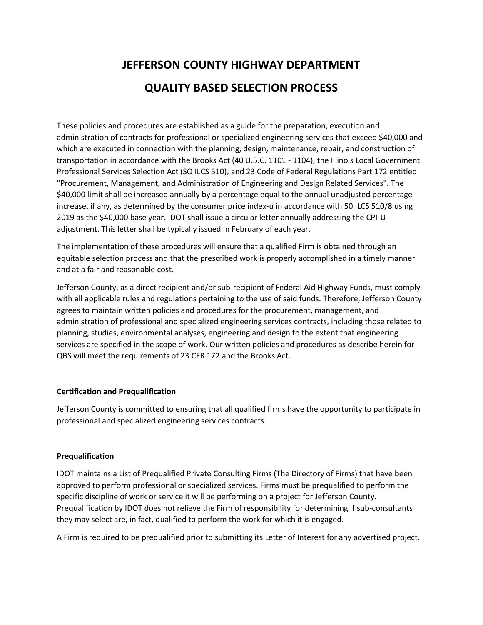# **JEFFERSON COUNTY HIGHWAY DEPARTMENT QUALITY BASED SELECTION PROCESS**

These policies and procedures are established as a guide for the preparation, execution and administration of contracts for professional or specialized engineering services that exceed \$40,000 and which are executed in connection with the planning, design, maintenance, repair, and construction of transportation in accordance with the Brooks Act (40 U.5.C. 1101 - 1104), the Illinois Local Government Professional Services Selection Act (SO ILCS 510), and 23 Code of Federal Regulations Part 172 entitled "Procurement, Management, and Administration of Engineering and Design Related Services". The \$40,000 limit shall be increased annually by a percentage equal to the annual unadjusted percentage increase, if any, as determined by the consumer price index-u in accordance with 50 ILCS 510/8 using 2019 as the \$40,000 base year. IDOT shall issue a circular letter annually addressing the CPI-U adjustment. This letter shall be typically issued in February of each year.

The implementation of these procedures will ensure that a qualified Firm is obtained through an equitable selection process and that the prescribed work is properly accomplished in a timely manner and at a fair and reasonable cost.

Jefferson County, as a direct recipient and/or sub-recipient of Federal Aid Highway Funds, must comply with all applicable rules and regulations pertaining to the use of said funds. Therefore, Jefferson County agrees to maintain written policies and procedures for the procurement, management, and administration of professional and specialized engineering services contracts, including those related to planning, studies, environmental analyses, engineering and design to the extent that engineering services are specified in the scope of work. Our written policies and procedures as describe herein for QBS will meet the requirements of 23 CFR 172 and the Brooks Act.

## **Certification and Prequalification**

Jefferson County is committed to ensuring that all qualified firms have the opportunity to participate in professional and specialized engineering services contracts.

## **Prequalification**

IDOT maintains a List of Prequalified Private Consulting Firms (The Directory of Firms) that have been approved to perform professional or specialized services. Firms must be prequalified to perform the specific discipline of work or service it will be performing on a project for Jefferson County. Prequalification by IDOT does not relieve the Firm of responsibility for determining if sub-consultants they may select are, in fact, qualified to perform the work for which it is engaged.

A Firm is required to be prequalified prior to submitting its Letter of Interest for any advertised project.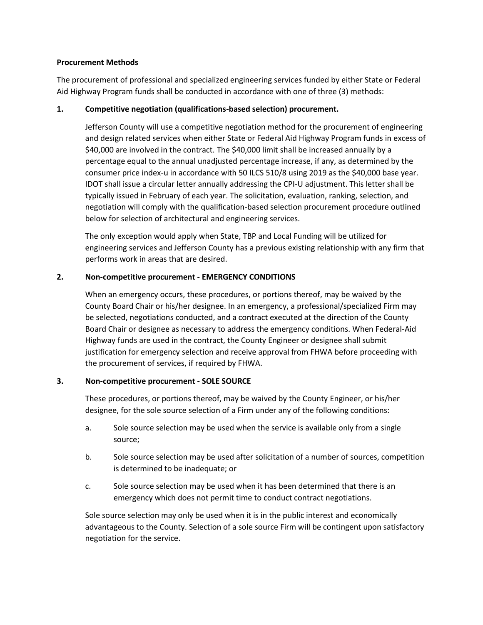## **Procurement Methods**

The procurement of professional and specialized engineering services funded by either State or Federal Aid Highway Program funds shall be conducted in accordance with one of three (3) methods:

## **1. Competitive negotiation (qualifications-based selection) procurement.**

Jefferson County will use a competitive negotiation method for the procurement of engineering and design related services when either State or Federal Aid Highway Program funds in excess of \$40,000 are involved in the contract. The \$40,000 limit shall be increased annually by a percentage equal to the annual unadjusted percentage increase, if any, as determined by the consumer price index-u in accordance with 50 ILCS 510/8 using 2019 as the \$40,000 base year. IDOT shall issue a circular letter annually addressing the CPI-U adjustment. This letter shall be typically issued in February of each year. The solicitation, evaluation, ranking, selection, and negotiation will comply with the qualification-based selection procurement procedure outlined below for selection of architectural and engineering services.

The only exception would apply when State, TBP and Local Funding will be utilized for engineering services and Jefferson County has a previous existing relationship with any firm that performs work in areas that are desired.

## **2. Non-competitive procurement - EMERGENCY CONDITIONS**

When an emergency occurs, these procedures, or portions thereof, may be waived by the County Board Chair or his/her designee. In an emergency, a professional/specialized Firm may be selected, negotiations conducted, and a contract executed at the direction of the County Board Chair or designee as necessary to address the emergency conditions. When Federal-Aid Highway funds are used in the contract, the County Engineer or designee shall submit justification for emergency selection and receive approval from FHWA before proceeding with the procurement of services, if required by FHWA.

## **3. Non-competitive procurement - SOLE SOURCE**

These procedures, or portions thereof, may be waived by the County Engineer, or his/her designee, for the sole source selection of a Firm under any of the following conditions:

- a. Sole source selection may be used when the service is available only from a single source;
- b. Sole source selection may be used after solicitation of a number of sources, competition is determined to be inadequate; or
- c. Sole source selection may be used when it has been determined that there is an emergency which does not permit time to conduct contract negotiations.

Sole source selection may only be used when it is in the public interest and economically advantageous to the County. Selection of a sole source Firm will be contingent upon satisfactory negotiation for the service.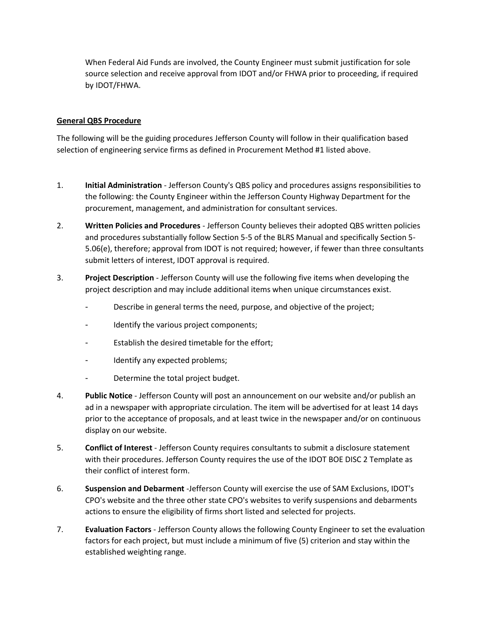When Federal Aid Funds are involved, the County Engineer must submit justification for sole source selection and receive approval from IDOT and/or FHWA prior to proceeding, if required by IDOT/FHWA.

## **General QBS Procedure**

The following will be the guiding procedures Jefferson County will follow in their qualification based selection of engineering service firms as defined in Procurement Method #1 listed above.

- 1. **Initial Administration** Jefferson County's QBS policy and procedures assigns responsibilities to the following: the County Engineer within the Jefferson County Highway Department for the procurement, management, and administration for consultant services.
- 2. **Written Policies and Procedures** Jefferson County believes their adopted QBS written policies and procedures substantially follow Section 5-5 of the BLRS Manual and specifically Section 5- 5.06(e), therefore; approval from IDOT is not required; however, if fewer than three consultants submit letters of interest, IDOT approval is required.
- 3. **Project Description** Jefferson County will use the following five items when developing the project description and may include additional items when unique circumstances exist.
	- Describe in general terms the need, purpose, and objective of the project;
	- Identify the various project components;
	- Establish the desired timetable for the effort;
	- Identify any expected problems;
	- Determine the total project budget.
- 4. **Public Notice** Jefferson County will post an announcement on our website and/or publish an ad in a newspaper with appropriate circulation. The item will be advertised for at least 14 days prior to the acceptance of proposals, and at least twice in the newspaper and/or on continuous display on our website.
- 5. **Conflict of Interest** Jefferson County requires consultants to submit a disclosure statement with their procedures. Jefferson County requires the use of the IDOT BOE DISC 2 Template as their conflict of interest form.
- 6. **Suspension and Debarment** -Jefferson County will exercise the use of SAM Exclusions, IDOT's CPO's website and the three other state CPO's websites to verify suspensions and debarments actions to ensure the eligibility of firms short listed and selected for projects.
- 7. **Evaluation Factors** Jefferson County allows the following County Engineer to set the evaluation factors for each project, but must include a minimum of five (5) criterion and stay within the established weighting range.